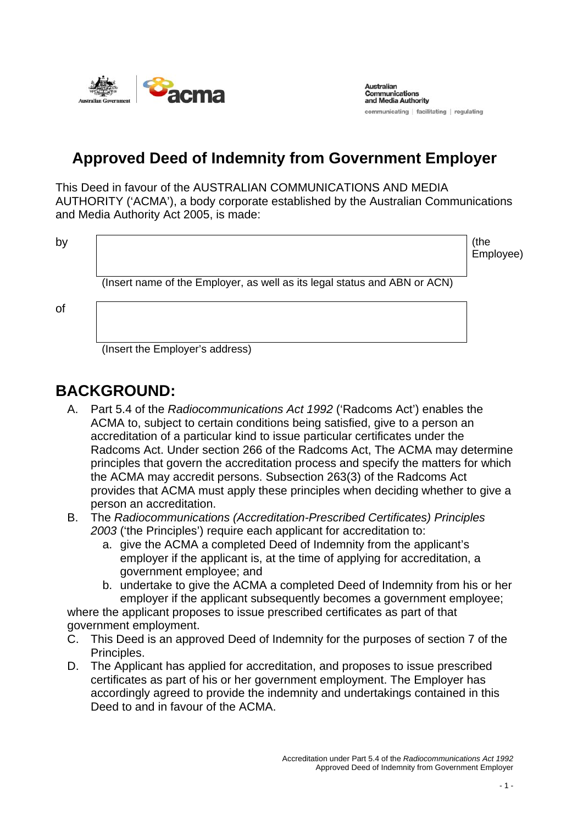

**Australian** Communications and Media Authority communicating | facilitating | regulating

# **Approved Deed of Indemnity from Government Employer**

This Deed in favour of the AUSTRALIAN COMMUNICATIONS AND MEDIA AUTHORITY ('ACMA'), a body corporate established by the Australian Communications and Media Authority Act 2005, is made:

by the contract of the contract of the contract of the contract of the contract of the contract of the contract of the contract of the contract of the contract of the contract of the contract of the contract of the contrac Employee)

(Insert name of the Employer, as well as its legal status and ABN or ACN)

of

(Insert the Employer's address)

## **BACKGROUND:**

- A. Part 5.4 of the *Radiocommunications Act 1992* ('Radcoms Act') enables the ACMA to, subject to certain conditions being satisfied, give to a person an accreditation of a particular kind to issue particular certificates under the Radcoms Act. Under section 266 of the Radcoms Act, The ACMA may determine principles that govern the accreditation process and specify the matters for which the ACMA may accredit persons. Subsection 263(3) of the Radcoms Act provides that ACMA must apply these principles when deciding whether to give a person an accreditation.
- B. The *Radiocommunications (Accreditation-Prescribed Certificates) Principles 2003* ('the Principles') require each applicant for accreditation to:
	- a. give the ACMA a completed Deed of Indemnity from the applicant's employer if the applicant is, at the time of applying for accreditation, a government employee; and
	- b. undertake to give the ACMA a completed Deed of Indemnity from his or her employer if the applicant subsequently becomes a government employee;

where the applicant proposes to issue prescribed certificates as part of that government employment.

- C. This Deed is an approved Deed of Indemnity for the purposes of section 7 of the Principles.
- D. The Applicant has applied for accreditation, and proposes to issue prescribed certificates as part of his or her government employment. The Employer has accordingly agreed to provide the indemnity and undertakings contained in this Deed to and in favour of the ACMA.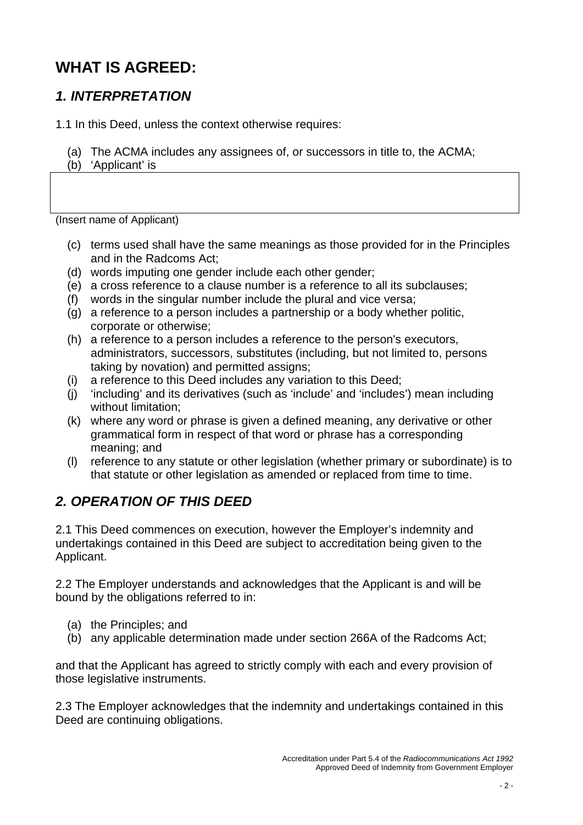# **WHAT IS AGREED:**

### *1. INTERPRETATION*

1.1 In this Deed, unless the context otherwise requires:

- (a) The ACMA includes any assignees of, or successors in title to, the ACMA;
- (b) 'Applicant' is

(Insert name of Applicant)

- (c) terms used shall have the same meanings as those provided for in the Principles and in the Radcoms Act;
- (d) words imputing one gender include each other gender;
- (e) a cross reference to a clause number is a reference to all its subclauses;
- (f) words in the singular number include the plural and vice versa;
- (g) a reference to a person includes a partnership or a body whether politic, corporate or otherwise;
- (h) a reference to a person includes a reference to the person's executors, administrators, successors, substitutes (including, but not limited to, persons taking by novation) and permitted assigns;
- (i) a reference to this Deed includes any variation to this Deed;
- (j) 'including' and its derivatives (such as 'include' and 'includes') mean including without limitation;
- (k) where any word or phrase is given a defined meaning, any derivative or other grammatical form in respect of that word or phrase has a corresponding meaning; and
- (l) reference to any statute or other legislation (whether primary or subordinate) is to that statute or other legislation as amended or replaced from time to time.

#### *2. OPERATION OF THIS DEED*

2.1 This Deed commences on execution, however the Employer's indemnity and undertakings contained in this Deed are subject to accreditation being given to the Applicant.

2.2 The Employer understands and acknowledges that the Applicant is and will be bound by the obligations referred to in:

- (a) the Principles; and
- (b) any applicable determination made under section 266A of the Radcoms Act;

and that the Applicant has agreed to strictly comply with each and every provision of those legislative instruments.

2.3 The Employer acknowledges that the indemnity and undertakings contained in this Deed are continuing obligations.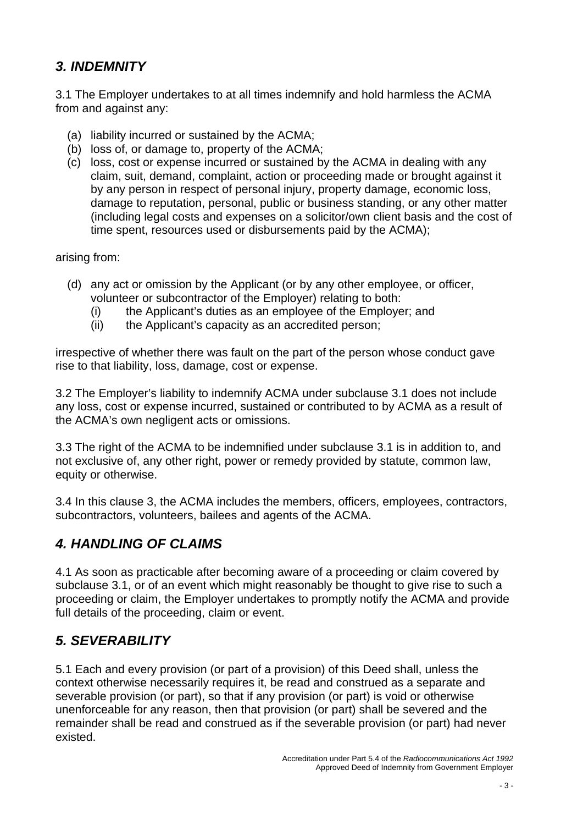#### *3. INDEMNITY*

3.1 The Employer undertakes to at all times indemnify and hold harmless the ACMA from and against any:

- (a) liability incurred or sustained by the ACMA;
- (b) loss of, or damage to, property of the ACMA;
- (c) loss, cost or expense incurred or sustained by the ACMA in dealing with any claim, suit, demand, complaint, action or proceeding made or brought against it by any person in respect of personal injury, property damage, economic loss, damage to reputation, personal, public or business standing, or any other matter (including legal costs and expenses on a solicitor/own client basis and the cost of time spent, resources used or disbursements paid by the ACMA);

arising from:

- (d) any act or omission by the Applicant (or by any other employee, or officer, volunteer or subcontractor of the Employer) relating to both:
	- (i) the Applicant's duties as an employee of the Employer; and
	- (ii) the Applicant's capacity as an accredited person;

irrespective of whether there was fault on the part of the person whose conduct gave rise to that liability, loss, damage, cost or expense.

3.2 The Employer's liability to indemnify ACMA under subclause 3.1 does not include any loss, cost or expense incurred, sustained or contributed to by ACMA as a result of the ACMA's own negligent acts or omissions.

3.3 The right of the ACMA to be indemnified under subclause 3.1 is in addition to, and not exclusive of, any other right, power or remedy provided by statute, common law, equity or otherwise.

3.4 In this clause 3, the ACMA includes the members, officers, employees, contractors, subcontractors, volunteers, bailees and agents of the ACMA.

#### *4. HANDLING OF CLAIMS*

4.1 As soon as practicable after becoming aware of a proceeding or claim covered by subclause 3.1, or of an event which might reasonably be thought to give rise to such a proceeding or claim, the Employer undertakes to promptly notify the ACMA and provide full details of the proceeding, claim or event.

#### *5. SEVERABILITY*

5.1 Each and every provision (or part of a provision) of this Deed shall, unless the context otherwise necessarily requires it, be read and construed as a separate and severable provision (or part), so that if any provision (or part) is void or otherwise unenforceable for any reason, then that provision (or part) shall be severed and the remainder shall be read and construed as if the severable provision (or part) had never existed.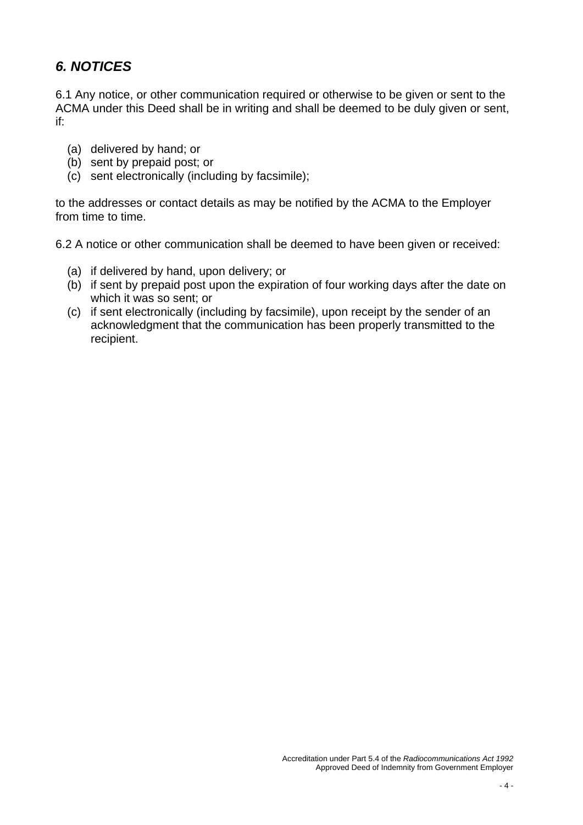### *6. NOTICES*

6.1 Any notice, or other communication required or otherwise to be given or sent to the ACMA under this Deed shall be in writing and shall be deemed to be duly given or sent, if:

- (a) delivered by hand; or
- (b) sent by prepaid post; or
- (c) sent electronically (including by facsimile);

to the addresses or contact details as may be notified by the ACMA to the Employer from time to time.

6.2 A notice or other communication shall be deemed to have been given or received:

- (a) if delivered by hand, upon delivery; or
- (b) if sent by prepaid post upon the expiration of four working days after the date on which it was so sent; or
- (c) if sent electronically (including by facsimile), upon receipt by the sender of an acknowledgment that the communication has been properly transmitted to the recipient.